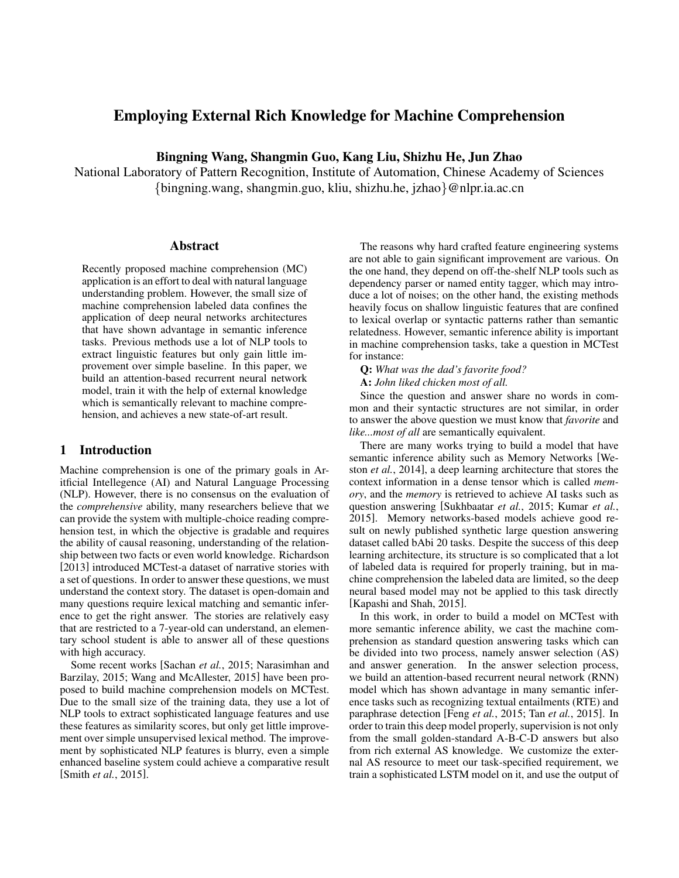# Employing External Rich Knowledge for Machine Comprehension

Bingning Wang, Shangmin Guo, Kang Liu, Shizhu He, Jun Zhao

National Laboratory of Pattern Recognition, Institute of Automation, Chinese Academy of Sciences {bingning.wang, shangmin.guo, kliu, shizhu.he, jzhao}@nlpr.ia.ac.cn

### Abstract

Recently proposed machine comprehension (MC) application is an effort to deal with natural language understanding problem. However, the small size of machine comprehension labeled data confines the application of deep neural networks architectures that have shown advantage in semantic inference tasks. Previous methods use a lot of NLP tools to extract linguistic features but only gain little improvement over simple baseline. In this paper, we build an attention-based recurrent neural network model, train it with the help of external knowledge which is semantically relevant to machine comprehension, and achieves a new state-of-art result.

## 1 Introduction

Machine comprehension is one of the primary goals in Aritficial Intellegence (AI) and Natural Language Processing (NLP). However, there is no consensus on the evaluation of the *comprehensive* ability, many researchers believe that we can provide the system with multiple-choice reading comprehension test, in which the objective is gradable and requires the ability of causal reasoning, understanding of the relationship between two facts or even world knowledge. Richardson [2013] introduced MCTest-a dataset of narrative stories with a set of questions. In order to answer these questions, we must understand the context story. The dataset is open-domain and many questions require lexical matching and semantic inference to get the right answer. The stories are relatively easy that are restricted to a 7-year-old can understand, an elementary school student is able to answer all of these questions with high accuracy.

Some recent works [Sachan *et al.*, 2015; Narasimhan and Barzilay, 2015; Wang and McAllester, 2015] have been proposed to build machine comprehension models on MCTest. Due to the small size of the training data, they use a lot of NLP tools to extract sophisticated language features and use these features as similarity scores, but only get little improvement over simple unsupervised lexical method. The improvement by sophisticated NLP features is blurry, even a simple enhanced baseline system could achieve a comparative result [Smith *et al.*, 2015].

The reasons why hard crafted feature engineering systems are not able to gain significant improvement are various. On the one hand, they depend on off-the-shelf NLP tools such as dependency parser or named entity tagger, which may introduce a lot of noises; on the other hand, the existing methods heavily focus on shallow linguistic features that are confined to lexical overlap or syntactic patterns rather than semantic relatedness. However, semantic inference ability is important in machine comprehension tasks, take a question in MCTest for instance:

Q: *What was the dad's favorite food?*

A: *John liked chicken most of all.*

Since the question and answer share no words in common and their syntactic structures are not similar, in order to answer the above question we must know that *favorite* and *like...most of all* are semantically equivalent.

There are many works trying to build a model that have semantic inference ability such as Memory Networks [Weston *et al.*, 2014], a deep learning architecture that stores the context information in a dense tensor which is called *memory*, and the *memory* is retrieved to achieve AI tasks such as question answering [Sukhbaatar *et al.*, 2015; Kumar *et al.*, 2015]. Memory networks-based models achieve good result on newly published synthetic large question answering dataset called bAbi 20 tasks. Despite the success of this deep learning architecture, its structure is so complicated that a lot of labeled data is required for properly training, but in machine comprehension the labeled data are limited, so the deep neural based model may not be applied to this task directly [Kapashi and Shah, 2015].

In this work, in order to build a model on MCTest with more semantic inference ability, we cast the machine comprehension as standard question answering tasks which can be divided into two process, namely answer selection (AS) and answer generation. In the answer selection process, we build an attention-based recurrent neural network (RNN) model which has shown advantage in many semantic inference tasks such as recognizing textual entailments (RTE) and paraphrase detection [Feng *et al.*, 2015; Tan *et al.*, 2015]. In order to train this deep model properly, supervision is not only from the small golden-standard A-B-C-D answers but also from rich external AS knowledge. We customize the external AS resource to meet our task-specified requirement, we train a sophisticated LSTM model on it, and use the output of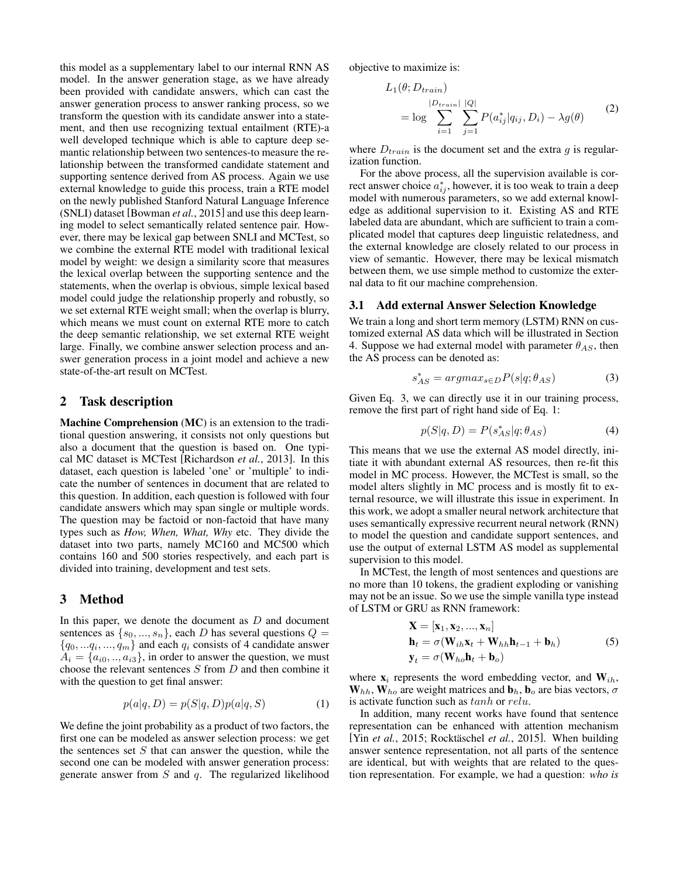this model as a supplementary label to our internal RNN AS model. In the answer generation stage, as we have already been provided with candidate answers, which can cast the answer generation process to answer ranking process, so we transform the question with its candidate answer into a statement, and then use recognizing textual entailment (RTE)-a well developed technique which is able to capture deep semantic relationship between two sentences-to measure the relationship between the transformed candidate statement and supporting sentence derived from AS process. Again we use external knowledge to guide this process, train a RTE model on the newly published Stanford Natural Language Inference (SNLI) dataset [Bowman *et al.*, 2015] and use this deep learning model to select semantically related sentence pair. However, there may be lexical gap between SNLI and MCTest, so we combine the external RTE model with traditional lexical model by weight: we design a similarity score that measures the lexical overlap between the supporting sentence and the statements, when the overlap is obvious, simple lexical based model could judge the relationship properly and robustly, so we set external RTE weight small; when the overlap is blurry, which means we must count on external RTE more to catch the deep semantic relationship, we set external RTE weight large. Finally, we combine answer selection process and answer generation process in a joint model and achieve a new state-of-the-art result on MCTest.

## 2 Task description

Machine Comprehension (MC) is an extension to the traditional question answering, it consists not only questions but also a document that the question is based on. One typical MC dataset is MCTest [Richardson *et al.*, 2013]. In this dataset, each question is labeled 'one' or 'multiple' to indicate the number of sentences in document that are related to this question. In addition, each question is followed with four candidate answers which may span single or multiple words. The question may be factoid or non-factoid that have many types such as *How, When, What, Why* etc. They divide the dataset into two parts, namely MC160 and MC500 which contains 160 and 500 stories respectively, and each part is divided into training, development and test sets.

### 3 Method

In this paper, we denote the document as  $D$  and document sentences as  $\{s_0, ..., s_n\}$ , each D has several questions  $Q =$  $\{q_0, \ldots q_i, \ldots, q_m\}$  and each  $q_i$  consists of 4 candidate answer  $A_i = \{a_{i0},..,a_{i3}\}\$ , in order to answer the question, we must choose the relevant sentences S from D and then combine it with the question to get final answer:

$$
p(a|q, D) = p(S|q, D)p(a|q, S)
$$
\n<sup>(1)</sup>

We define the joint probability as a product of two factors, the first one can be modeled as answer selection process: we get the sentences set  $S$  that can answer the question, while the second one can be modeled with answer generation process: generate answer from  $S$  and  $q$ . The regularized likelihood objective to maximize is:

$$
L_1(\theta; D_{train})
$$
  
= log  $\sum_{i=1}^{|D_{train}|} \sum_{j=1}^{|Q|} P(a_{ij}^* | q_{ij}, D_i) - \lambda g(\theta)$  (2)

where  $D_{train}$  is the document set and the extra g is regularization function.

For the above process, all the supervision available is correct answer choice  $a_{ij}^*$ , however, it is too weak to train a deep model with numerous parameters, so we add external knowledge as additional supervision to it. Existing AS and RTE labeled data are abundant, which are sufficient to train a complicated model that captures deep linguistic relatedness, and the external knowledge are closely related to our process in view of semantic. However, there may be lexical mismatch between them, we use simple method to customize the external data to fit our machine comprehension.

#### 3.1 Add external Answer Selection Knowledge

We train a long and short term memory (LSTM) RNN on customized external AS data which will be illustrated in Section 4. Suppose we had external model with parameter  $\theta_{AS}$ , then the AS process can be denoted as:

$$
s_{AS}^* = argmax_{s \in D} P(s|q; \theta_{AS})
$$
 (3)

Given Eq. 3, we can directly use it in our training process, remove the first part of right hand side of Eq. 1:

$$
p(S|q, D) = P(s^*_{AS}|q; \theta_{AS})
$$
\n(4)

This means that we use the external AS model directly, initiate it with abundant external AS resources, then re-fit this model in MC process. However, the MCTest is small, so the model alters slightly in MC process and is mostly fit to external resource, we will illustrate this issue in experiment. In this work, we adopt a smaller neural network architecture that uses semantically expressive recurrent neural network (RNN) to model the question and candidate support sentences, and use the output of external LSTM AS model as supplemental supervision to this model.

In MCTest, the length of most sentences and questions are no more than 10 tokens, the gradient exploding or vanishing may not be an issue. So we use the simple vanilla type instead of LSTM or GRU as RNN framework:

$$
\mathbf{X} = [\mathbf{x}_1, \mathbf{x}_2, ..., \mathbf{x}_n]
$$
  
\n
$$
\mathbf{h}_t = \sigma(\mathbf{W}_{ih}\mathbf{x}_t + \mathbf{W}_{hh}\mathbf{h}_{t-1} + \mathbf{b}_h)
$$
  
\n
$$
\mathbf{y}_t = \sigma(\mathbf{W}_{ho}\mathbf{h}_t + \mathbf{b}_o)
$$
\n(5)

where  $x_i$  represents the word embedding vector, and  $W_{ih}$ ,  $W_{hh}$ ,  $W_{ho}$  are weight matrices and  $b_h$ ,  $b_o$  are bias vectors,  $\sigma$ is activate function such as tanh or relu.

In addition, many recent works have found that sentence representation can be enhanced with attention mechanism [Yin *et al.*, 2015; Rocktäschel et al., 2015]. When building answer sentence representation, not all parts of the sentence are identical, but with weights that are related to the question representation. For example, we had a question: *who is*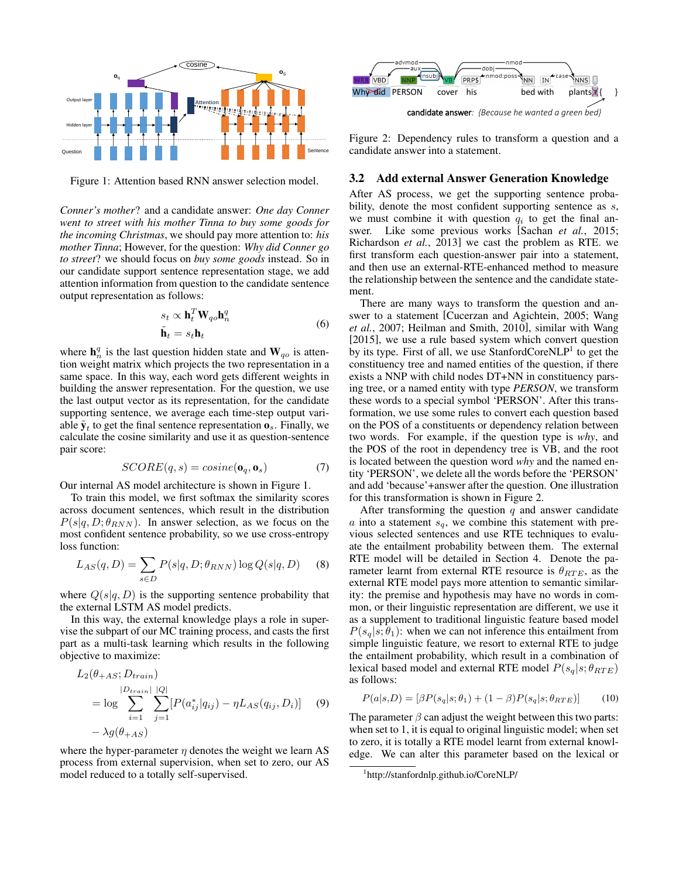

Figure 1: Attention based RNN answer selection model.

*Conner's mother*? and a candidate answer: *One day Conner went to street with his mother Tinna to buy some goods for the incoming Christmas*, we should pay more attention to: *his mother Tinna*; However, for the question: *Why did Conner go to street*? we should focus on *buy some goods* instead. So in our candidate support sentence representation stage, we add attention information from question to the candidate sentence output representation as follows:

$$
s_t \propto \mathbf{h}_t^T \mathbf{W}_{qo} \mathbf{h}_n^q
$$
  

$$
\tilde{\mathbf{h}}_t = s_t \mathbf{h}_t
$$
 (6)

where  $\mathbf{h}_n^q$  is the last question hidden state and  $\mathbf{W}_{qo}$  is attention weight matrix which projects the two representation in a same space. In this way, each word gets different weights in building the answer representation. For the question, we use the last output vector as its representation, for the candidate supporting sentence, we average each time-step output variable  $\tilde{\mathbf{y}}_t$  to get the final sentence representation  $\mathbf{o}_s$ . Finally, we calculate the cosine similarity and use it as question-sentence pair score:

$$
SCORE(q, s) = cosine(\mathbf{o}_q, \mathbf{o}_s)
$$
 (7)

Our internal AS model architecture is shown in Figure 1.

To train this model, we first softmax the similarity scores across document sentences, which result in the distribution  $P(s|q, D; \theta_{RNN})$ . In answer selection, as we focus on the most confident sentence probability, so we use cross-entropy loss function:

$$
L_{AS}(q, D) = \sum_{s \in D} P(s|q, D; \theta_{RNN}) \log Q(s|q, D)
$$
 (8)

where  $Q(s|q, D)$  is the supporting sentence probability that the external LSTM AS model predicts.

In this way, the external knowledge plays a role in supervise the subpart of our MC training process, and casts the first part as a multi-task learning which results in the following objective to maximize:

$$
L_2(\theta_{+AS}; D_{train})
$$
  
\n
$$
= \log \sum_{i=1}^{|D_{train}|} \sum_{j=1}^{|Q|} [P(a_{ij}^* | q_{ij}) - \eta L_{AS}(q_{ij}, D_i)] \quad (9)
$$
  
\n
$$
- \lambda g(\theta_{+AS})
$$

where the hyper-parameter  $\eta$  denotes the weight we learn AS process from external supervision, when set to zero, our AS



Figure 2: Dependency rules to transform a question and a candidate answer into a statement.

#### 3.2 Add external Answer Generation Knowledge

After AS process, we get the supporting sentence probability, denote the most confident supporting sentence as  $s$ , we must combine it with question  $q_i$  to get the final answer. Like some previous works [Sachan *et al.*, 2015; Richardson *et al.*, 2013] we cast the problem as RTE. we first transform each question-answer pair into a statement, and then use an external-RTE-enhanced method to measure the relationship between the sentence and the candidate statement.

**Figure 2 We could controll the summarized to a totall self-summarized to a totall self-summarized to a totall self-summarized to a totall self-summarized. Properties the distribution of the self-summarized to a total s** There are many ways to transform the question and answer to a statement [Cucerzan and Agichtein, 2005; Wang *et al.*, 2007; Heilman and Smith, 2010], similar with Wang [2015], we use a rule based system which convert question by its type. First of all, we use StanfordCoreNLP<sup>1</sup> to get the constituency tree and named entities of the question, if there exists a NNP with child nodes DT+NN in constituency parsing tree, or a named entity with type *PERSON*, we transform these words to a special symbol 'PERSON'. After this transformation, we use some rules to convert each question based on the POS of a constituents or dependency relation between two words. For example, if the question type is *why*, and the POS of the root in dependency tree is VB, and the root is located between the question word *why* and the named entity 'PERSON', we delete all the words before the 'PERSON' and add 'because'+answer after the question. One illustration for this transformation is shown in Figure 2.

After transforming the question  $q$  and answer candidate  $a$  into a statement  $s_q$ , we combine this statement with previous selected sentences and use RTE techniques to evaluate the entailment probability between them. The external RTE model will be detailed in Section 4. Denote the parameter learnt from external RTE resource is  $\theta_{RTE}$ , as the external RTE model pays more attention to semantic similarity: the premise and hypothesis may have no words in common, or their linguistic representation are different, we use it as a supplement to traditional linguistic feature based model  $P(s_q|s; \theta_1)$ : when we can not inference this entailment from simple linguistic feature, we resort to external RTE to judge the entailment probability, which result in a combination of lexical based model and external RTE model  $P(s_q|s; \theta_{RTE})$ as follows:

$$
P(a|s,D) = [\beta P(s_q|s;\theta_1) + (1-\beta)P(s_q|s;\theta_{RTE})]
$$
(10)

The parameter  $\beta$  can adjust the weight between this two parts: when set to 1, it is equal to original linguistic model; when set to zero, it is totally a RTE model learnt from external knowledge. We can alter this parameter based on the lexical or

<sup>1</sup> http://stanfordnlp.github.io/CoreNLP/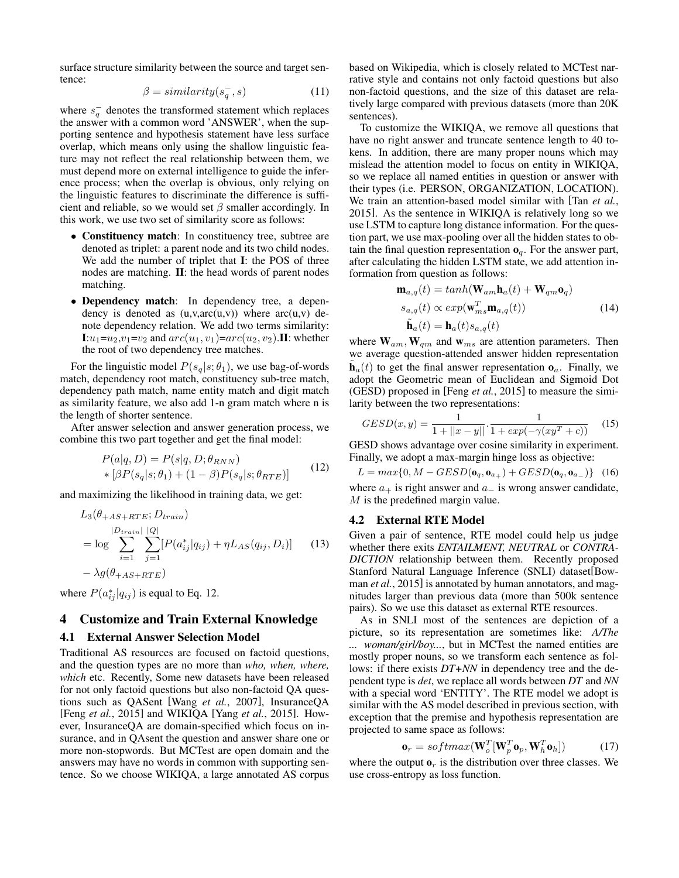surface structure similarity between the source and target sentence:

$$
\beta = similarity(s_q^-, s) \tag{11}
$$

where  $s_q^-$  denotes the transformed statement which replaces the answer with a common word 'ANSWER', when the supporting sentence and hypothesis statement have less surface overlap, which means only using the shallow linguistic feature may not reflect the real relationship between them, we must depend more on external intelligence to guide the inference process; when the overlap is obvious, only relying on the linguistic features to discriminate the difference is sufficient and reliable, so we would set  $\beta$  smaller accordingly. In this work, we use two set of similarity score as follows:

- Constituency match: In constituency tree, subtree are denoted as triplet: a parent node and its two child nodes. We add the number of triplet that I: the POS of three nodes are matching. II: the head words of parent nodes matching.
- Dependency match: In dependency tree, a dependency is denoted as  $(u, v, arc(u, v))$  where  $arc(u, v)$  denote dependency relation. We add two terms similarity:  $\mathbf{I}:u_1=u_2,v_1=v_2$  and  $arc(u_1,v_1)=arc(u_2,v_2)$ . II: whether the root of two dependency tree matches.

For the linguistic model  $P(s_q|s; \theta_1)$ , we use bag-of-words match, dependency root match, constituency sub-tree match, dependency path match, name entity match and digit match as similarity feature, we also add 1-n gram match where n is the length of shorter sentence.

After answer selection and answer generation process, we combine this two part together and get the final model:

$$
P(a|q, D) = P(s|q, D; \theta_{RNN})
$$
  
 \* 
$$
\left[\beta P(s_q|s; \theta_1) + (1 - \beta)P(s_q|s; \theta_{RTE})\right]
$$
 (12)

and maximizing the likelihood in training data, we get:

$$
L_3(\theta_{+AS+RTE}; D_{train})
$$
  
\n
$$
= \log \sum_{i=1}^{|D_{train}|} \sum_{j=1}^{|Q|} [P(a_{ij}^* | q_{ij}) + \eta L_{AS}(q_{ij}, D_i)] \qquad (13)
$$
  
\n
$$
- \lambda g(\theta_{+AS+RTE})
$$

where  $P(a_{ij}^*|q_{ij})$  is equal to Eq. 12.

## 4 Customize and Train External Knowledge

### 4.1 External Answer Selection Model

Traditional AS resources are focused on factoid questions, and the question types are no more than *who, when, where, which* etc. Recently, Some new datasets have been released for not only factoid questions but also non-factoid QA questions such as QASent [Wang *et al.*, 2007], InsuranceQA [Feng *et al.*, 2015] and WIKIQA [Yang *et al.*, 2015]. However, InsuranceQA are domain-specified which focus on insurance, and in QAsent the question and answer share one or more non-stopwords. But MCTest are open domain and the answers may have no words in common with supporting sentence. So we choose WIKIQA, a large annotated AS corpus based on Wikipedia, which is closely related to MCTest narrative style and contains not only factoid questions but also non-factoid questions, and the size of this dataset are relatively large compared with previous datasets (more than 20K sentences).

To customize the WIKIQA, we remove all questions that have no right answer and truncate sentence length to 40 tokens. In addition, there are many proper nouns which may mislead the attention model to focus on entity in WIKIQA, so we replace all named entities in question or answer with their types (i.e. PERSON, ORGANIZATION, LOCATION). We train an attention-based model similar with [Tan *et al.*, 2015]. As the sentence in WIKIQA is relatively long so we use LSTM to capture long distance information. For the question part, we use max-pooling over all the hidden states to obtain the final question representation  $\mathbf{o}_q$ . For the answer part, after calculating the hidden LSTM state, we add attention information from question as follows:

$$
\mathbf{m}_{a,q}(t) = \tanh(\mathbf{W}_{am}\mathbf{h}_{a}(t) + \mathbf{W}_{qm}\mathbf{o}_{q})
$$
  
\n
$$
s_{a,q}(t) \propto \exp(\mathbf{w}_{ms}^{T}\mathbf{m}_{a,q}(t))
$$
  
\n
$$
\tilde{\mathbf{h}}_{a}(t) = \mathbf{h}_{a}(t)s_{a,q}(t)
$$
\n(14)

where  $W_{am}$ ,  $W_{qm}$  and  $W_{ms}$  are attention parameters. Then we average question-attended answer hidden representation  $\tilde{\mathbf{h}}_a(t)$  to get the final answer representation  $\mathbf{o}_a$ . Finally, we adopt the Geometric mean of Euclidean and Sigmoid Dot (GESD) proposed in [Feng *et al.*, 2015] to measure the similarity between the two representations:

$$
GESD(x,y) = \frac{1}{1 + ||x - y||} \cdot \frac{1}{1 + exp(-\gamma(xy^T + c))}
$$
(15)

GESD shows advantage over cosine similarity in experiment. Finally, we adopt a max-margin hinge loss as objective:

 $L = max\{0, M - GESD(\mathbf{o}_q, \mathbf{o}_{a_+}) + GESD(\mathbf{o}_q, \mathbf{o}_{a_-})\}$  (16)

where  $a_+$  is right answer and  $a_-$  is wrong answer candidate, M is the predefined margin value.

#### 4.2 External RTE Model

Given a pair of sentence, RTE model could help us judge whether there exits *ENTAILMENT, NEUTRAL* or *CONTRA-DICTION* relationship between them. Recently proposed Stanford Natural Language Inference (SNLI) dataset[Bowman *et al.*, 2015] is annotated by human annotators, and magnitudes larger than previous data (more than 500k sentence pairs). So we use this dataset as external RTE resources.

As in SNLI most of the sentences are depiction of a picture, so its representation are sometimes like: *A/The ... woman/girl/boy...*, but in MCTest the named entities are mostly proper nouns, so we transform each sentence as follows: if there exists *DT+NN* in dependency tree and the dependent type is *det*, we replace all words between *DT* and *NN* with a special word 'ENTITY'. The RTE model we adopt is similar with the AS model described in previous section, with exception that the premise and hypothesis representation are projected to same space as follows:

$$
\mathbf{o}_r = softmax(\mathbf{W}_o^T[\mathbf{W}_p^T \mathbf{o}_p, \mathbf{W}_h^T \mathbf{o}_h])
$$
 (17)

where the output  $\mathbf{o}_r$  is the distribution over three classes. We use cross-entropy as loss function.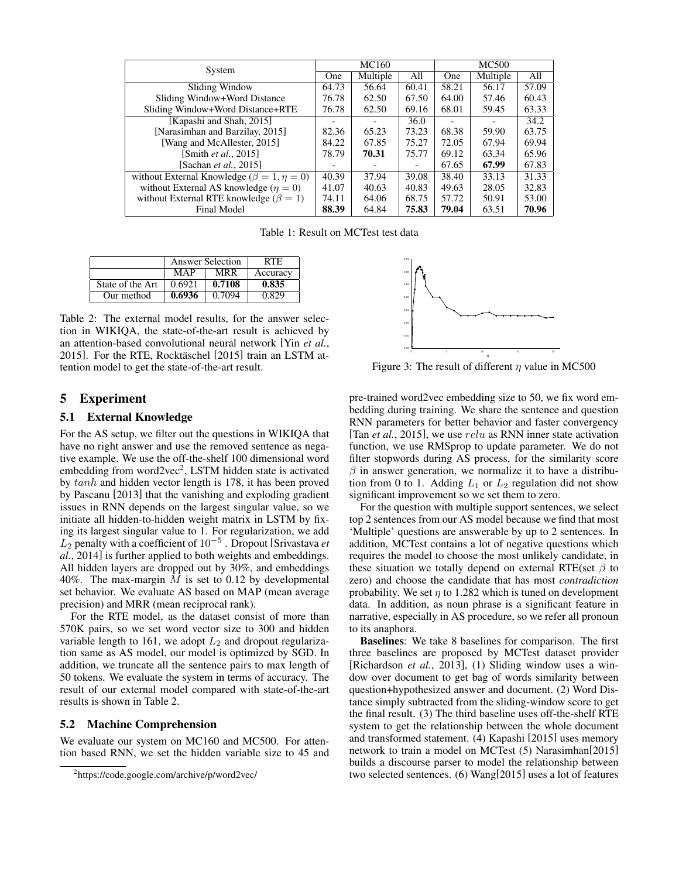| System                                               | MC160 |          |       | <b>MC500</b> |          |       |
|------------------------------------------------------|-------|----------|-------|--------------|----------|-------|
|                                                      | One   | Multiple | All   | One          | Multiple | All   |
| Sliding Window                                       | 64.73 | 56.64    | 60.41 | 58.21        | 56.17    | 57.09 |
| Sliding Window+Word Distance                         | 76.78 | 62.50    | 67.50 | 64.00        | 57.46    | 60.43 |
| Sliding Window+Word Distance+RTE                     | 76.78 | 62.50    | 69.16 | 68.01        | 59.45    | 63.33 |
| [Kapashi and Shah, 2015]                             |       |          | 36.0  |              |          | 34.2  |
| [Narasimhan and Barzilay, 2015]                      | 82.36 | 65.23    | 73.23 | 68.38        | 59.90    | 63.75 |
| [Wang and McAllester, 2015]                          | 84.22 | 67.85    | 75.27 | 72.05        | 67.94    | 69.94 |
| [Smith <i>et al.</i> , 2015]                         | 78.79 | 70.31    | 75.77 | 69.12        | 63.34    | 65.96 |
| [Sachan <i>et al.</i> , 2015]                        |       |          |       | 67.65        | 67.99    | 67.83 |
| without External Knowledge ( $\beta = 1, \eta = 0$ ) | 40.39 | 37.94    | 39.08 | 38.40        | 33.13    | 31.33 |
| without External AS knowledge ( $\eta = 0$ )         | 41.07 | 40.63    | 40.83 | 49.63        | 28.05    | 32.83 |
| without External RTE knowledge ( $\beta = 1$ )       | 74.11 | 64.06    | 68.75 | 57.72        | 50.91    | 53.00 |
| <b>Final Model</b>                                   | 88.39 | 64.84    | 75.83 | 79.04        | 63.51    | 70.96 |

Table 1: Result on MCTest test data

|                  | Answer Selection | RTE.       |          |  |
|------------------|------------------|------------|----------|--|
|                  | MAP              | <b>MRR</b> | Accuracy |  |
| State of the Art | 0.6921           | 0.7108     | 0.835    |  |
| Our method       | 0.6936           | 0.7094     | 0.829    |  |

Table 2: The external model results, for the answer selection in WIKIQA, the state-of-the-art result is achieved by an attention-based convolutional neural network [Yin *et al.*, 2015]. For the RTE, Rocktäschel [2015] train an LSTM attention model to get the state-of-the-art result.

## 5 Experiment

### 5.1 External Knowledge

For the AS setup, we filter out the questions in WIKIQA that have no right answer and use the removed sentence as negative example. We use the off-the-shelf 100 dimensional word embedding from word2vec<sup>2</sup>, LSTM hidden state is activated by tanh and hidden vector length is 178, it has been proved by Pascanu [2013] that the vanishing and exploding gradient issues in RNN depends on the largest singular value, so we initiate all hidden-to-hidden weight matrix in LSTM by fixing its largest singular value to 1. For regularization, we add L<sup>2</sup> penalty with a coefficient of 10<sup>−</sup><sup>5</sup> . Dropout [Srivastava *et al.*, 2014] is further applied to both weights and embeddings. All hidden layers are dropped out by 30%, and embeddings 40%. The max-margin  $M$  is set to 0.12 by developmental set behavior. We evaluate AS based on MAP (mean average precision) and MRR (mean reciprocal rank).

For the RTE model, as the dataset consist of more than 570K pairs, so we set word vector size to 300 and hidden variable length to 161, we adopt  $L_2$  and dropout regularization same as AS model, our model is optimized by SGD. In addition, we truncate all the sentence pairs to max length of 50 tokens. We evaluate the system in terms of accuracy. The result of our external model compared with state-of-the-art results is shown in Table 2.

### 5.2 Machine Comprehension

We evaluate our system on MC160 and MC500. For attention based RNN, we set the hidden variable size to 45 and



Figure 3: The result of different  $\eta$  value in MC500

pre-trained word2vec embedding size to 50, we fix word embedding during training. We share the sentence and question RNN parameters for better behavior and faster convergency [Tan *et al.*, 2015], we use relu as RNN inner state activation function, we use RMSprop to update parameter. We do not filter stopwords during AS process, for the similarity score  $\beta$  in answer generation, we normalize it to have a distribution from 0 to 1. Adding  $L_1$  or  $L_2$  regulation did not show significant improvement so we set them to zero.

For the question with multiple support sentences, we select top 2 sentences from our AS model because we find that most 'Multiple' questions are answerable by up to 2 sentences. In addition, MCTest contains a lot of negative questions which requires the model to choose the most unlikely candidate, in these situation we totally depend on external RTE(set  $\beta$  to zero) and choose the candidate that has most *contradiction* probability. We set  $\eta$  to 1.282 which is tuned on development data. In addition, as noun phrase is a significant feature in narrative, especially in AS procedure, so we refer all pronoun to its anaphora.

Baselines: We take 8 baselines for comparison. The first three baselines are proposed by MCTest dataset provider [Richardson *et al.*, 2013], (1) Sliding window uses a window over document to get bag of words similarity between question+hypothesized answer and document. (2) Word Distance simply subtracted from the sliding-window score to get the final result. (3) The third baseline uses off-the-shelf RTE system to get the relationship between the whole document and transformed statement. (4) Kapashi [2015] uses memory network to train a model on MCTest (5) Narasimhan[2015] builds a discourse parser to model the relationship between two selected sentences. (6) Wang[2015] uses a lot of features

<sup>&</sup>lt;sup>2</sup>https://code.google.com/archive/p/word2vec/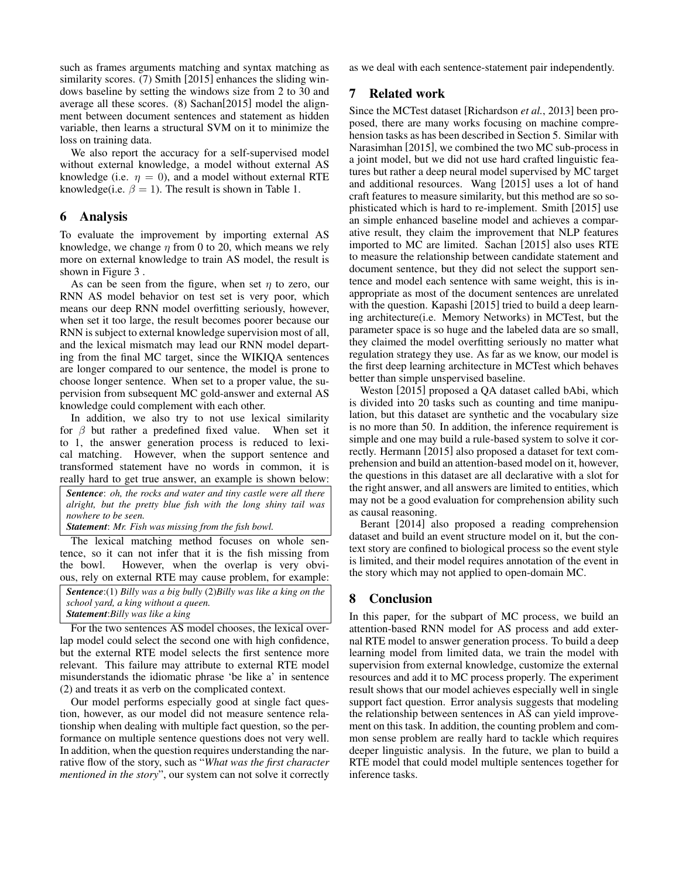such as frames arguments matching and syntax matching as similarity scores. (7) Smith [2015] enhances the sliding windows baseline by setting the windows size from 2 to 30 and average all these scores. (8) Sachan[2015] model the alignment between document sentences and statement as hidden variable, then learns a structural SVM on it to minimize the loss on training data.

We also report the accuracy for a self-supervised model without external knowledge, a model without external AS knowledge (i.e.  $\eta = 0$ ), and a model without external RTE knowledge(i.e.  $\beta = 1$ ). The result is shown in Table 1.

### 6 Analysis

To evaluate the improvement by importing external AS knowledge, we change  $\eta$  from 0 to 20, which means we rely more on external knowledge to train AS model, the result is shown in Figure 3 .

As can be seen from the figure, when set  $\eta$  to zero, our RNN AS model behavior on test set is very poor, which means our deep RNN model overfitting seriously, however, when set it too large, the result becomes poorer because our RNN is subject to external knowledge supervision most of all, and the lexical mismatch may lead our RNN model departing from the final MC target, since the WIKIQA sentences are longer compared to our sentence, the model is prone to choose longer sentence. When set to a proper value, the supervision from subsequent MC gold-answer and external AS knowledge could complement with each other.

In addition, we also try to not use lexical similarity for  $\beta$  but rather a predefined fixed value. When set it to 1, the answer generation process is reduced to lexical matching. However, when the support sentence and transformed statement have no words in common, it is really hard to get true answer, an example is shown below:

*Sentence*: *oh, the rocks and water and tiny castle were all there alright, but the pretty blue fish with the long shiny tail was nowhere to be seen.*

*Statement*: *Mr. Fish was missing from the fish bowl.*

The lexical matching method focuses on whole sentence, so it can not infer that it is the fish missing from the bowl. However, when the overlap is very obvious, rely on external RTE may cause problem, for example:

*Sentence*:(1) *Billy was a big bully* (2)*Billy was like a king on the school yard, a king without a queen. Statement*:*Billy was like a king*

For the two sentences AS model chooses, the lexical overlap model could select the second one with high confidence, but the external RTE model selects the first sentence more relevant. This failure may attribute to external RTE model misunderstands the idiomatic phrase 'be like a' in sentence (2) and treats it as verb on the complicated context.

Our model performs especially good at single fact question, however, as our model did not measure sentence relationship when dealing with multiple fact question, so the performance on multiple sentence questions does not very well. In addition, when the question requires understanding the narrative flow of the story, such as "*What was the first character mentioned in the story*", our system can not solve it correctly as we deal with each sentence-statement pair independently.

## 7 Related work

Since the MCTest dataset [Richardson *et al.*, 2013] been proposed, there are many works focusing on machine comprehension tasks as has been described in Section 5. Similar with Narasimhan [2015], we combined the two MC sub-process in a joint model, but we did not use hard crafted linguistic features but rather a deep neural model supervised by MC target and additional resources. Wang [2015] uses a lot of hand craft features to measure similarity, but this method are so sophisticated which is hard to re-implement. Smith [2015] use an simple enhanced baseline model and achieves a comparative result, they claim the improvement that NLP features imported to MC are limited. Sachan [2015] also uses RTE to measure the relationship between candidate statement and document sentence, but they did not select the support sentence and model each sentence with same weight, this is inappropriate as most of the document sentences are unrelated with the question. Kapashi [2015] tried to build a deep learning architecture(i.e. Memory Networks) in MCTest, but the parameter space is so huge and the labeled data are so small, they claimed the model overfitting seriously no matter what regulation strategy they use. As far as we know, our model is the first deep learning architecture in MCTest which behaves better than simple unspervised baseline.

Weston [2015] proposed a QA dataset called bAbi, which is divided into 20 tasks such as counting and time manipulation, but this dataset are synthetic and the vocabulary size is no more than 50. In addition, the inference requirement is simple and one may build a rule-based system to solve it correctly. Hermann [2015] also proposed a dataset for text comprehension and build an attention-based model on it, however, the questions in this dataset are all declarative with a slot for the right answer, and all answers are limited to entities, which may not be a good evaluation for comprehension ability such as causal reasoning.

Berant [2014] also proposed a reading comprehension dataset and build an event structure model on it, but the context story are confined to biological process so the event style is limited, and their model requires annotation of the event in the story which may not applied to open-domain MC.

## 8 Conclusion

In this paper, for the subpart of MC process, we build an attention-based RNN model for AS process and add external RTE model to answer generation process. To build a deep learning model from limited data, we train the model with supervision from external knowledge, customize the external resources and add it to MC process properly. The experiment result shows that our model achieves especially well in single support fact question. Error analysis suggests that modeling the relationship between sentences in AS can yield improvement on this task. In addition, the counting problem and common sense problem are really hard to tackle which requires deeper linguistic analysis. In the future, we plan to build a RTE model that could model multiple sentences together for inference tasks.